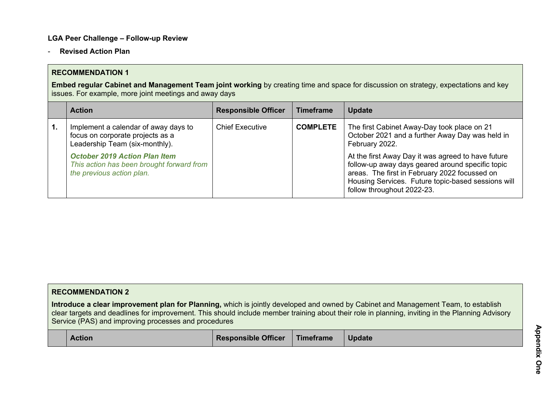### **LGA Peer Challenge – Follow-up Review**

- **Revised Action Plan**

### **RECOMMENDATION 1**

**Embed regular Cabinet and Management Team joint working** by creating time and space for discussion on strategy, expectations and key issues. For example, more joint meetings and away days

|              | <b>Action</b>                                                                                                  | <b>Responsible Officer</b> | <b>Timeframe</b> | <b>Update</b>                                                                                                                                                                                                                               |
|--------------|----------------------------------------------------------------------------------------------------------------|----------------------------|------------------|---------------------------------------------------------------------------------------------------------------------------------------------------------------------------------------------------------------------------------------------|
| $\mathbf{1}$ | Implement a calendar of away days to<br>focus on corporate projects as a<br>Leadership Team (six-monthly).     | <b>Chief Executive</b>     | <b>COMPLETE</b>  | The first Cabinet Away-Day took place on 21<br>October 2021 and a further Away Day was held in<br>February 2022.                                                                                                                            |
|              | <b>October 2019 Action Plan Item</b><br>This action has been brought forward from<br>the previous action plan. |                            |                  | At the first Away Day it was agreed to have future<br>follow-up away days geared around specific topic<br>areas. The first in February 2022 focussed on<br>Housing Services. Future topic-based sessions will<br>follow throughout 2022-23. |

| <b>RECOMMENDATION 2</b>                              |                            |           |                                                                                                                                                                                                                                                                                        |
|------------------------------------------------------|----------------------------|-----------|----------------------------------------------------------------------------------------------------------------------------------------------------------------------------------------------------------------------------------------------------------------------------------------|
| Service (PAS) and improving processes and procedures |                            |           | Introduce a clear improvement plan for Planning, which is jointly developed and owned by Cabinet and Management Team, to establish<br>clear targets and deadlines for improvement. This should include member training about their role in planning, inviting in the Planning Advisory |
| <b>Action</b>                                        | <b>Responsible Officer</b> | Timeframe | <b>Update</b>                                                                                                                                                                                                                                                                          |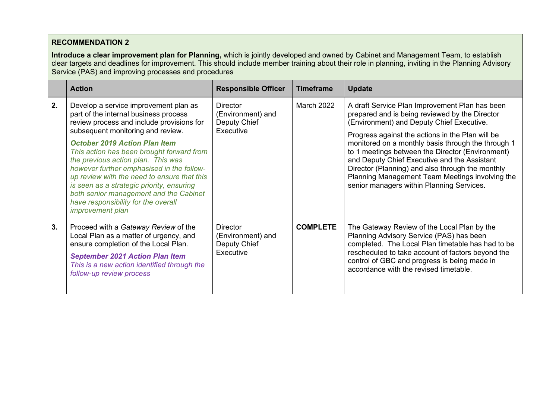**Introduce a clear improvement plan for Planning,** which is jointly developed and owned by Cabinet and Management Team, to establish clear targets and deadlines for improvement. This should include member training about their role in planning, inviting in the Planning Advisory Service (PAS) and improving processes and procedures

|    | <b>Action</b>                                                                                                                                                                                                                                                                                                                                                                                                                                                                                                                                    | <b>Responsible Officer</b>                                        | <b>Timeframe</b> | <b>Update</b>                                                                                                                                                                                                                                                                                                                                                                                                                                                                                                   |
|----|--------------------------------------------------------------------------------------------------------------------------------------------------------------------------------------------------------------------------------------------------------------------------------------------------------------------------------------------------------------------------------------------------------------------------------------------------------------------------------------------------------------------------------------------------|-------------------------------------------------------------------|------------------|-----------------------------------------------------------------------------------------------------------------------------------------------------------------------------------------------------------------------------------------------------------------------------------------------------------------------------------------------------------------------------------------------------------------------------------------------------------------------------------------------------------------|
| 2. | Develop a service improvement plan as<br>part of the internal business process<br>review process and include provisions for<br>subsequent monitoring and review.<br><b>October 2019 Action Plan Item</b><br>This action has been brought forward from<br>the previous action plan. This was<br>however further emphasised in the follow-<br>up review with the need to ensure that this<br>is seen as a strategic priority, ensuring<br>both senior management and the Cabinet<br>have responsibility for the overall<br><i>improvement plan</i> | <b>Director</b><br>(Environment) and<br>Deputy Chief<br>Executive | March 2022       | A draft Service Plan Improvement Plan has been<br>prepared and is being reviewed by the Director<br>(Environment) and Deputy Chief Executive.<br>Progress against the actions in the Plan will be<br>monitored on a monthly basis through the through 1<br>to 1 meetings between the Director (Environment)<br>and Deputy Chief Executive and the Assistant<br>Director (Planning) and also through the monthly<br>Planning Management Team Meetings involving the<br>senior managers within Planning Services. |
| 3. | Proceed with a Gateway Review of the<br>Local Plan as a matter of urgency, and<br>ensure completion of the Local Plan.<br><b>September 2021 Action Plan Item</b><br>This is a new action identified through the<br>follow-up review process                                                                                                                                                                                                                                                                                                      | <b>Director</b><br>(Environment) and<br>Deputy Chief<br>Executive | <b>COMPLETE</b>  | The Gateway Review of the Local Plan by the<br>Planning Advisory Service (PAS) has been<br>completed. The Local Plan timetable has had to be<br>rescheduled to take account of factors beyond the<br>control of GBC and progress is being made in<br>accordance with the revised timetable.                                                                                                                                                                                                                     |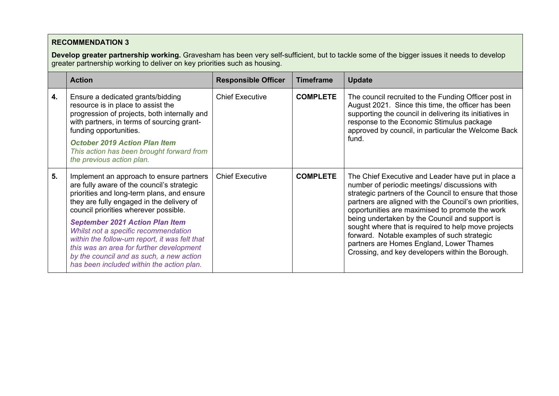**Develop greater partnership working.** Gravesham has been very self-sufficient, but to tackle some of the bigger issues it needs to develop greater partnership working to deliver on key priorities such as housing.

|    | <b>Action</b>                                                                                                                                                                                                                                                                                                                                                                                                                                                                                      | <b>Responsible Officer</b> | <b>Timeframe</b> | <b>Update</b>                                                                                                                                                                                                                                                                                                                                                                                                                                                                                                                       |
|----|----------------------------------------------------------------------------------------------------------------------------------------------------------------------------------------------------------------------------------------------------------------------------------------------------------------------------------------------------------------------------------------------------------------------------------------------------------------------------------------------------|----------------------------|------------------|-------------------------------------------------------------------------------------------------------------------------------------------------------------------------------------------------------------------------------------------------------------------------------------------------------------------------------------------------------------------------------------------------------------------------------------------------------------------------------------------------------------------------------------|
| 4. | Ensure a dedicated grants/bidding<br>resource is in place to assist the<br>progression of projects, both internally and<br>with partners, in terms of sourcing grant-<br>funding opportunities.<br><b>October 2019 Action Plan Item</b><br>This action has been brought forward from<br>the previous action plan.                                                                                                                                                                                  | <b>Chief Executive</b>     | <b>COMPLETE</b>  | The council recruited to the Funding Officer post in<br>August 2021. Since this time, the officer has been<br>supporting the council in delivering its initiatives in<br>response to the Economic Stimulus package<br>approved by council, in particular the Welcome Back<br>fund.                                                                                                                                                                                                                                                  |
| 5. | Implement an approach to ensure partners<br>are fully aware of the council's strategic<br>priorities and long-term plans, and ensure<br>they are fully engaged in the delivery of<br>council priorities wherever possible.<br><b>September 2021 Action Plan Item</b><br>Whilst not a specific recommendation<br>within the follow-um report, it was felt that<br>this was an area for further development<br>by the council and as such, a new action<br>has been included within the action plan. | <b>Chief Executive</b>     | <b>COMPLETE</b>  | The Chief Executive and Leader have put in place a<br>number of periodic meetings/ discussions with<br>strategic partners of the Council to ensure that those<br>partners are aligned with the Council's own priorities,<br>opportunities are maximised to promote the work<br>being undertaken by the Council and support is<br>sought where that is required to help move projects<br>forward. Notable examples of such strategic<br>partners are Homes England, Lower Thames<br>Crossing, and key developers within the Borough. |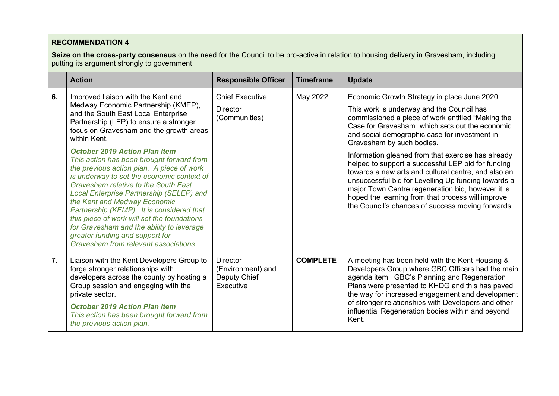**Seize on the cross-party consensus** on the need for the Council to be pro-active in relation to housing delivery in Gravesham, including putting its argument strongly to government

|    | <b>Action</b>                                                                                                                                                                                                                                                                                                                                                                                                                                                                                                                                                                                                                                                                                                                                  | <b>Responsible Officer</b>                                        | <b>Timeframe</b> | <b>Update</b>                                                                                                                                                                                                                                                                                                                                                                                                                                                                                                                                                                                                                                                            |
|----|------------------------------------------------------------------------------------------------------------------------------------------------------------------------------------------------------------------------------------------------------------------------------------------------------------------------------------------------------------------------------------------------------------------------------------------------------------------------------------------------------------------------------------------------------------------------------------------------------------------------------------------------------------------------------------------------------------------------------------------------|-------------------------------------------------------------------|------------------|--------------------------------------------------------------------------------------------------------------------------------------------------------------------------------------------------------------------------------------------------------------------------------------------------------------------------------------------------------------------------------------------------------------------------------------------------------------------------------------------------------------------------------------------------------------------------------------------------------------------------------------------------------------------------|
| 6. | Improved liaison with the Kent and<br>Medway Economic Partnership (KMEP),<br>and the South East Local Enterprise<br>Partnership (LEP) to ensure a stronger<br>focus on Gravesham and the growth areas<br>within Kent.<br><b>October 2019 Action Plan Item</b><br>This action has been brought forward from<br>the previous action plan. A piece of work<br>is underway to set the economic context of<br>Gravesham relative to the South East<br>Local Enterprise Partnership (SELEP) and<br>the Kent and Medway Economic<br>Partnership (KEMP). It is considered that<br>this piece of work will set the foundations<br>for Gravesham and the ability to leverage<br>greater funding and support for<br>Gravesham from relevant associations. | <b>Chief Executive</b><br><b>Director</b><br>(Communities)        | May 2022         | Economic Growth Strategy in place June 2020.<br>This work is underway and the Council has<br>commissioned a piece of work entitled "Making the<br>Case for Gravesham" which sets out the economic<br>and social demographic case for investment in<br>Gravesham by such bodies.<br>Information gleaned from that exercise has already<br>helped to support a successful LEP bid for funding<br>towards a new arts and cultural centre, and also an<br>unsuccessful bid for Levelling Up funding towards a<br>major Town Centre regeneration bid, however it is<br>hoped the learning from that process will improve<br>the Council's chances of success moving forwards. |
| 7. | Liaison with the Kent Developers Group to<br>forge stronger relationships with<br>developers across the county by hosting a<br>Group session and engaging with the<br>private sector.<br><b>October 2019 Action Plan Item</b><br>This action has been brought forward from<br>the previous action plan.                                                                                                                                                                                                                                                                                                                                                                                                                                        | <b>Director</b><br>(Environment) and<br>Deputy Chief<br>Executive | <b>COMPLETE</b>  | A meeting has been held with the Kent Housing &<br>Developers Group where GBC Officers had the main<br>agenda item. GBC's Planning and Regeneration<br>Plans were presented to KHDG and this has paved<br>the way for increased engagement and development<br>of stronger relationships with Developers and other<br>influential Regeneration bodies within and beyond<br>Kent.                                                                                                                                                                                                                                                                                          |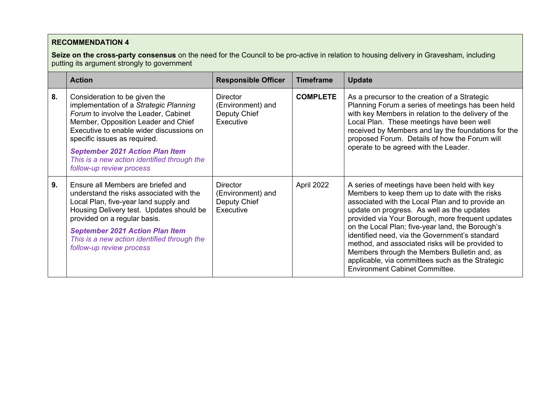**Seize on the cross-party consensus** on the need for the Council to be pro-active in relation to housing delivery in Gravesham, including putting its argument strongly to government

|    | <b>Action</b>                                                                                                                                                                                                                                                                                                                                           | <b>Responsible Officer</b>                                        | <b>Timeframe</b> | <b>Update</b>                                                                                                                                                                                                                                                                                                                                                                                                                                                                                                                                               |
|----|---------------------------------------------------------------------------------------------------------------------------------------------------------------------------------------------------------------------------------------------------------------------------------------------------------------------------------------------------------|-------------------------------------------------------------------|------------------|-------------------------------------------------------------------------------------------------------------------------------------------------------------------------------------------------------------------------------------------------------------------------------------------------------------------------------------------------------------------------------------------------------------------------------------------------------------------------------------------------------------------------------------------------------------|
| 8. | Consideration to be given the<br>implementation of a Strategic Planning<br>Forum to involve the Leader, Cabinet<br>Member, Opposition Leader and Chief<br>Executive to enable wider discussions on<br>specific issues as required.<br><b>September 2021 Action Plan Item</b><br>This is a new action identified through the<br>follow-up review process | <b>Director</b><br>(Environment) and<br>Deputy Chief<br>Executive | <b>COMPLETE</b>  | As a precursor to the creation of a Strategic<br>Planning Forum a series of meetings has been held<br>with key Members in relation to the delivery of the<br>Local Plan. These meetings have been well<br>received by Members and lay the foundations for the<br>proposed Forum. Details of how the Forum will<br>operate to be agreed with the Leader.                                                                                                                                                                                                     |
| 9. | Ensure all Members are briefed and<br>understand the risks associated with the<br>Local Plan, five-year land supply and<br>Housing Delivery test. Updates should be<br>provided on a regular basis.<br><b>September 2021 Action Plan Item</b><br>This is a new action identified through the<br>follow-up review process                                | <b>Director</b><br>(Environment) and<br>Deputy Chief<br>Executive | April 2022       | A series of meetings have been held with key<br>Members to keep them up to date with the risks<br>associated with the Local Plan and to provide an<br>update on progress. As well as the updates<br>provided via Your Borough, more frequent updates<br>on the Local Plan; five-year land, the Borough's<br>identified need, via the Government's standard<br>method, and associated risks will be provided to<br>Members through the Members Bulletin and, as<br>applicable, via committees such as the Strategic<br><b>Environment Cabinet Committee.</b> |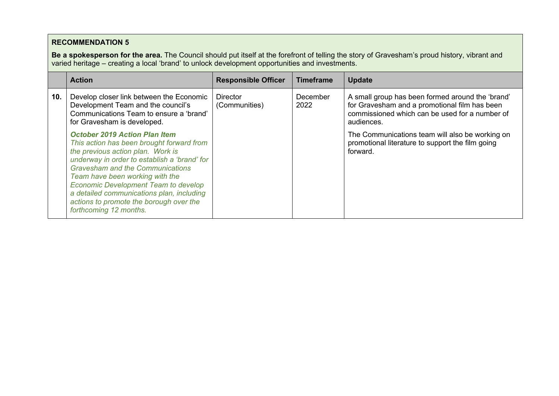**Be a spokesperson for the area.** The Council should put itself at the forefront of telling the story of Gravesham's proud history, vibrant and varied heritage – creating a local 'brand' to unlock development opportunities and investments.

|     | <b>Action</b>                                                                                                                                                                                                                                                                                                                                                                                                         | <b>Responsible Officer</b>       | <b>Timeframe</b>        | <b>Update</b>                                                                                                                                                     |
|-----|-----------------------------------------------------------------------------------------------------------------------------------------------------------------------------------------------------------------------------------------------------------------------------------------------------------------------------------------------------------------------------------------------------------------------|----------------------------------|-------------------------|-------------------------------------------------------------------------------------------------------------------------------------------------------------------|
| 10. | Develop closer link between the Economic<br>Development Team and the council's<br>Communications Team to ensure a 'brand'<br>for Gravesham is developed.                                                                                                                                                                                                                                                              | <b>Director</b><br>(Communities) | <b>December</b><br>2022 | A small group has been formed around the 'brand'<br>for Gravesham and a promotional film has been<br>commissioned which can be used for a number of<br>audiences. |
|     | <b>October 2019 Action Plan Item</b><br>This action has been brought forward from<br>the previous action plan. Work is<br>underway in order to establish a 'brand' for<br><b>Gravesham and the Communications</b><br>Team have been working with the<br><b>Economic Development Team to develop</b><br>a detailed communications plan, including<br>actions to promote the borough over the<br>forthcoming 12 months. |                                  |                         | The Communications team will also be working on<br>promotional literature to support the film going<br>forward.                                                   |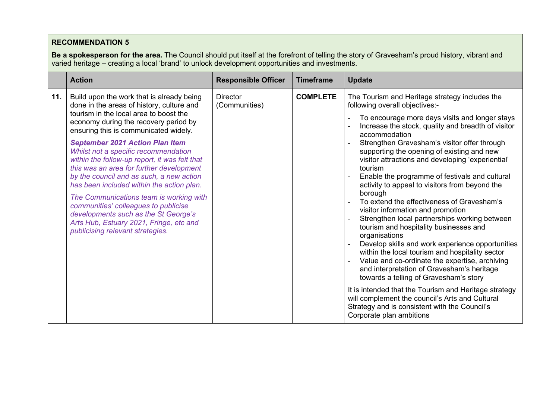**Be a spokesperson for the area.** The Council should put itself at the forefront of telling the story of Gravesham's proud history, vibrant and varied heritage – creating a local 'brand' to unlock development opportunities and investments.

|     | <b>Action</b>                                                                                                                                                                                                                                                                                                                                                                                                                                                                                                                                                                                                                                                                                        | <b>Responsible Officer</b>       | <b>Timeframe</b> | <b>Update</b>                                                                                                                                                                                                                                                                                                                                                                                                                                                                                                                                                                                                                                                                                                                                                                                                                                                                                                                                                                                                                                                                                                                   |
|-----|------------------------------------------------------------------------------------------------------------------------------------------------------------------------------------------------------------------------------------------------------------------------------------------------------------------------------------------------------------------------------------------------------------------------------------------------------------------------------------------------------------------------------------------------------------------------------------------------------------------------------------------------------------------------------------------------------|----------------------------------|------------------|---------------------------------------------------------------------------------------------------------------------------------------------------------------------------------------------------------------------------------------------------------------------------------------------------------------------------------------------------------------------------------------------------------------------------------------------------------------------------------------------------------------------------------------------------------------------------------------------------------------------------------------------------------------------------------------------------------------------------------------------------------------------------------------------------------------------------------------------------------------------------------------------------------------------------------------------------------------------------------------------------------------------------------------------------------------------------------------------------------------------------------|
| 11. | Build upon the work that is already being<br>done in the areas of history, culture and<br>tourism in the local area to boost the<br>economy during the recovery period by<br>ensuring this is communicated widely.<br><b>September 2021 Action Plan Item</b><br>Whilst not a specific recommendation<br>within the follow-up report, it was felt that<br>this was an area for further development<br>by the council and as such, a new action<br>has been included within the action plan.<br>The Communications team is working with<br>communities' colleagues to publicise<br>developments such as the St George's<br>Arts Hub, Estuary 2021, Fringe, etc and<br>publicising relevant strategies. | <b>Director</b><br>(Communities) | <b>COMPLETE</b>  | The Tourism and Heritage strategy includes the<br>following overall objectives:-<br>To encourage more days visits and longer stays<br>Increase the stock, quality and breadth of visitor<br>accommodation<br>Strengthen Gravesham's visitor offer through<br>supporting the opening of existing and new<br>visitor attractions and developing 'experiential'<br>tourism<br>Enable the programme of festivals and cultural<br>activity to appeal to visitors from beyond the<br>borough<br>To extend the effectiveness of Gravesham's<br>visitor information and promotion<br>Strengthen local partnerships working between<br>tourism and hospitality businesses and<br>organisations<br>Develop skills and work experience opportunities<br>within the local tourism and hospitality sector<br>Value and co-ordinate the expertise, archiving<br>and interpretation of Gravesham's heritage<br>towards a telling of Gravesham's story<br>It is intended that the Tourism and Heritage strategy<br>will complement the council's Arts and Cultural<br>Strategy and is consistent with the Council's<br>Corporate plan ambitions |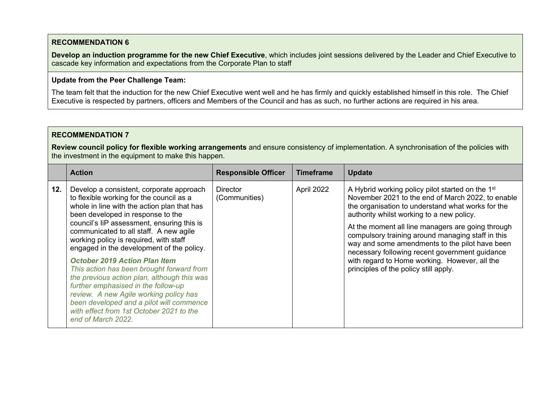**Develop an induction programme for the new Chief Executive**, which includes joint sessions delivered by the Leader and Chief Executive to cascade key information and expectations from the Corporate Plan to staff

#### **Update from the Peer Challenge Team:**

The team felt that the induction for the new Chief Executive went well and he has firmly and quickly established himself in this role. The Chief Executive is respected by partners, officers and Members of the Council and has as such, no further actions are required in his area.

### **RECOMMENDATION 7**

**Review council policy for flexible working arrangements** and ensure consistency of implementation. A synchronisation of the policies with the investment in the equipment to make this happen.

| 12.<br>April 2022<br>A Hybrid working policy pilot started on the 1 <sup>st</sup><br>Develop a consistent, corporate approach<br><b>Director</b><br>to flexible working for the council as a<br>(Communities)<br>the organisation to understand what works for the<br>whole in line with the action plan that has<br>been developed in response to the<br>authority whilst working to a new policy.<br>council's liP assessment, ensuring this is<br>At the moment all line managers are going through<br>communicated to all staff. A new agile<br>compulsory training around managing staff in this<br>working policy is required, with staff<br>way and some amendments to the pilot have been<br>engaged in the development of the policy.<br>necessary following recent government guidance<br>with regard to Home working. However, all the<br><b>October 2019 Action Plan Item</b><br>principles of the policy still apply.<br>This action has been brought forward from<br>the previous action plan, although this was<br>further emphasised in the follow-up<br>review. A new Agile working policy has<br>been developed and a pilot will commence | <b>Action</b>                            | <b>Responsible Officer</b> | <b>Timeframe</b> | <b>Update</b>                                     |
|-------------------------------------------------------------------------------------------------------------------------------------------------------------------------------------------------------------------------------------------------------------------------------------------------------------------------------------------------------------------------------------------------------------------------------------------------------------------------------------------------------------------------------------------------------------------------------------------------------------------------------------------------------------------------------------------------------------------------------------------------------------------------------------------------------------------------------------------------------------------------------------------------------------------------------------------------------------------------------------------------------------------------------------------------------------------------------------------------------------------------------------------------------------|------------------------------------------|----------------------------|------------------|---------------------------------------------------|
| end of March 2022.                                                                                                                                                                                                                                                                                                                                                                                                                                                                                                                                                                                                                                                                                                                                                                                                                                                                                                                                                                                                                                                                                                                                          | with effect from 1st October 2021 to the |                            |                  | November 2021 to the end of March 2022, to enable |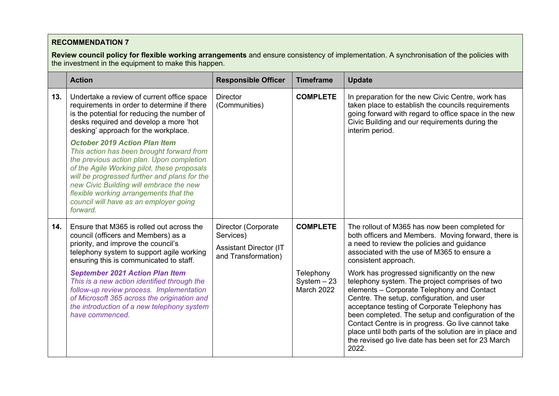**Review council policy for flexible working arrangements** and ensure consistency of implementation. A synchronisation of the policies with the investment in the equipment to make this happen.

|     | <b>Action</b>                                                                                                                                                                                                                                                                                                                                                            | <b>Responsible Officer</b>                                                               | <b>Timeframe</b>                                | <b>Update</b>                                                                                                                                                                                                                                                                                                                                                                                                                                                                     |
|-----|--------------------------------------------------------------------------------------------------------------------------------------------------------------------------------------------------------------------------------------------------------------------------------------------------------------------------------------------------------------------------|------------------------------------------------------------------------------------------|-------------------------------------------------|-----------------------------------------------------------------------------------------------------------------------------------------------------------------------------------------------------------------------------------------------------------------------------------------------------------------------------------------------------------------------------------------------------------------------------------------------------------------------------------|
| 13. | Undertake a review of current office space<br>requirements in order to determine if there<br>is the potential for reducing the number of<br>desks required and develop a more 'hot<br>desking' approach for the workplace.                                                                                                                                               | <b>Director</b><br>(Communities)                                                         | <b>COMPLETE</b>                                 | In preparation for the new Civic Centre, work has<br>taken place to establish the councils requirements<br>going forward with regard to office space in the new<br>Civic Building and our requirements during the<br>interim period.                                                                                                                                                                                                                                              |
|     | <b>October 2019 Action Plan Item</b><br>This action has been brought forward from<br>the previous action plan. Upon completion<br>of the Agile Working pilot, these proposals<br>will be progressed further and plans for the<br>new Civic Building will embrace the new<br>flexible working arrangements that the<br>council will have as an employer going<br>forward. |                                                                                          |                                                 |                                                                                                                                                                                                                                                                                                                                                                                                                                                                                   |
| 14. | Ensure that M365 is rolled out across the<br>council (officers and Members) as a<br>priority, and improve the council's<br>telephony system to support agile working<br>ensuring this is communicated to staff.                                                                                                                                                          | Director (Corporate<br>Services)<br><b>Assistant Director (IT</b><br>and Transformation) | <b>COMPLETE</b>                                 | The rollout of M365 has now been completed for<br>both officers and Members. Moving forward, there is<br>a need to review the policies and guidance<br>associated with the use of M365 to ensure a<br>consistent approach.                                                                                                                                                                                                                                                        |
|     | <b>September 2021 Action Plan Item</b><br>This is a new action identified through the<br>follow-up review process. Implementation<br>of Microsoft 365 across the origination and<br>the introduction of a new telephony system<br>have commenced.                                                                                                                        |                                                                                          | Telephony<br>$System - 23$<br><b>March 2022</b> | Work has progressed significantly on the new<br>telephony system. The project comprises of two<br>elements - Corporate Telephony and Contact<br>Centre. The setup, configuration, and user<br>acceptance testing of Corporate Telephony has<br>been completed. The setup and configuration of the<br>Contact Centre is in progress. Go live cannot take<br>place until both parts of the solution are in place and<br>the revised go live date has been set for 23 March<br>2022. |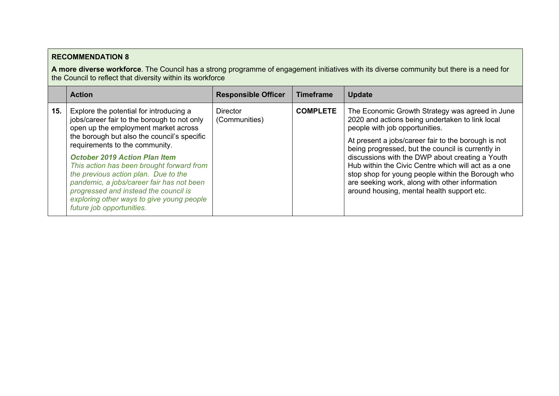**A more diverse workforce**. The Council has a strong programme of engagement initiatives with its diverse community but there is a need for the Council to reflect that diversity within its workforce

|     | <b>Action</b>                                                                                                                                                                                                                                                                                                                                                                                                                                                                                                | <b>Responsible Officer</b>       | <b>Timeframe</b> | <b>Update</b>                                                                                                                                                                                                                                                                                                                                                                                                                                                                                                   |
|-----|--------------------------------------------------------------------------------------------------------------------------------------------------------------------------------------------------------------------------------------------------------------------------------------------------------------------------------------------------------------------------------------------------------------------------------------------------------------------------------------------------------------|----------------------------------|------------------|-----------------------------------------------------------------------------------------------------------------------------------------------------------------------------------------------------------------------------------------------------------------------------------------------------------------------------------------------------------------------------------------------------------------------------------------------------------------------------------------------------------------|
| 15. | Explore the potential for introducing a<br>jobs/career fair to the borough to not only<br>open up the employment market across<br>the borough but also the council's specific<br>requirements to the community.<br><b>October 2019 Action Plan Item</b><br>This action has been brought forward from<br>the previous action plan. Due to the<br>pandemic, a jobs/career fair has not been<br>progressed and instead the council is<br>exploring other ways to give young people<br>future job opportunities. | <b>Director</b><br>(Communities) | <b>COMPLETE</b>  | The Economic Growth Strategy was agreed in June<br>2020 and actions being undertaken to link local<br>people with job opportunities.<br>At present a jobs/career fair to the borough is not<br>being progressed, but the council is currently in<br>discussions with the DWP about creating a Youth<br>Hub within the Civic Centre which will act as a one<br>stop shop for young people within the Borough who<br>are seeking work, along with other information<br>around housing, mental health support etc. |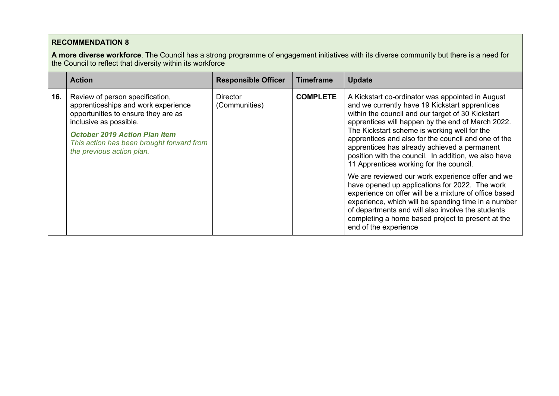**A more diverse workforce**. The Council has a strong programme of engagement initiatives with its diverse community but there is a need for the Council to reflect that diversity within its workforce

| <b>Action</b>                                                                                                                                                                                                                                                                                        | <b>Timeframe</b>                                                                                                                                                                                                                                                                                                                                                                                                                                                                                                                                                                                                                                                                                                                                                                                                                                   |
|------------------------------------------------------------------------------------------------------------------------------------------------------------------------------------------------------------------------------------------------------------------------------------------------------|----------------------------------------------------------------------------------------------------------------------------------------------------------------------------------------------------------------------------------------------------------------------------------------------------------------------------------------------------------------------------------------------------------------------------------------------------------------------------------------------------------------------------------------------------------------------------------------------------------------------------------------------------------------------------------------------------------------------------------------------------------------------------------------------------------------------------------------------------|
| <b>Responsible Officer</b>                                                                                                                                                                                                                                                                           | <b>Update</b>                                                                                                                                                                                                                                                                                                                                                                                                                                                                                                                                                                                                                                                                                                                                                                                                                                      |
| 16.<br>Review of person specification,<br><b>Director</b><br>apprenticeships and work experience<br>(Communities)<br>opportunities to ensure they are as<br>inclusive as possible.<br><b>October 2019 Action Plan Item</b><br>This action has been brought forward from<br>the previous action plan. | <b>COMPLETE</b><br>A Kickstart co-ordinator was appointed in August<br>and we currently have 19 Kickstart apprentices<br>within the council and our target of 30 Kickstart<br>apprentices will happen by the end of March 2022.<br>The Kickstart scheme is working well for the<br>apprentices and also for the council and one of the<br>apprentices has already achieved a permanent<br>position with the council. In addition, we also have<br>11 Apprentices working for the council.<br>We are reviewed our work experience offer and we<br>have opened up applications for 2022. The work<br>experience on offer will be a mixture of office based<br>experience, which will be spending time in a number<br>of departments and will also involve the students<br>completing a home based project to present at the<br>end of the experience |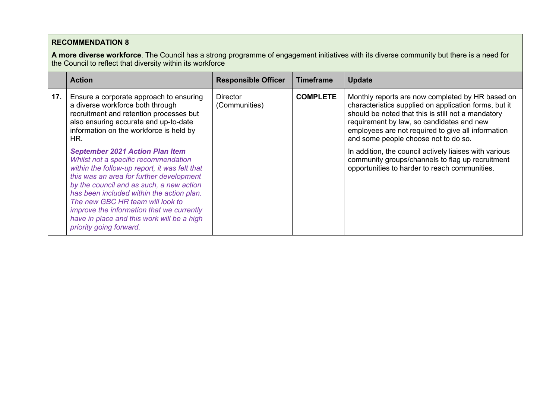**A more diverse workforce**. The Council has a strong programme of engagement initiatives with its diverse community but there is a need for the Council to reflect that diversity within its workforce

|     | <b>Action</b>                                                                                                                                                                                                                                                                                                                                                                                                                                                                                                                                                                                                                                       | <b>Responsible Officer</b>       | <b>Timeframe</b> | <b>Update</b>                                                                                                                                                                                                                                                                                                                                                                                                                                                             |
|-----|-----------------------------------------------------------------------------------------------------------------------------------------------------------------------------------------------------------------------------------------------------------------------------------------------------------------------------------------------------------------------------------------------------------------------------------------------------------------------------------------------------------------------------------------------------------------------------------------------------------------------------------------------------|----------------------------------|------------------|---------------------------------------------------------------------------------------------------------------------------------------------------------------------------------------------------------------------------------------------------------------------------------------------------------------------------------------------------------------------------------------------------------------------------------------------------------------------------|
| 17. | Ensure a corporate approach to ensuring<br>a diverse workforce both through<br>recruitment and retention processes but<br>also ensuring accurate and up-to-date<br>information on the workforce is held by<br>HR.<br><b>September 2021 Action Plan Item</b><br>Whilst not a specific recommendation<br>within the follow-up report, it was felt that<br>this was an area for further development<br>by the council and as such, a new action<br>has been included within the action plan.<br>The new GBC HR team will look to<br>improve the information that we currently<br>have in place and this work will be a high<br>priority going forward. | <b>Director</b><br>(Communities) | <b>COMPLETE</b>  | Monthly reports are now completed by HR based on<br>characteristics supplied on application forms, but it<br>should be noted that this is still not a mandatory<br>requirement by law, so candidates and new<br>employees are not required to give all information<br>and some people choose not to do so.<br>In addition, the council actively liaises with various<br>community groups/channels to flag up recruitment<br>opportunities to harder to reach communities. |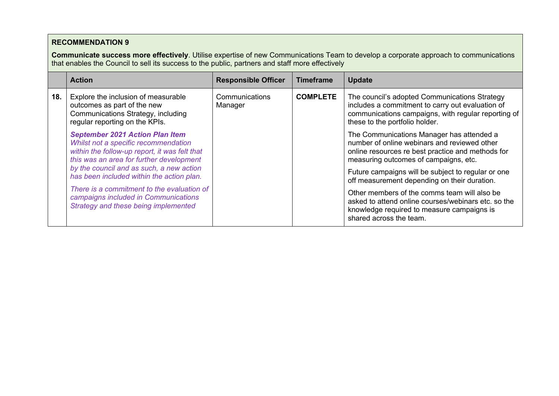**Communicate success more effectively**. Utilise expertise of new Communications Team to develop a corporate approach to communications that enables the Council to sell its success to the public, partners and staff more effectively

|     | <b>Action</b>                                                                                                                                                               | <b>Responsible Officer</b> | <b>Timeframe</b> | <b>Update</b>                                                                                                                                                                              |
|-----|-----------------------------------------------------------------------------------------------------------------------------------------------------------------------------|----------------------------|------------------|--------------------------------------------------------------------------------------------------------------------------------------------------------------------------------------------|
| 18. | Explore the inclusion of measurable<br>outcomes as part of the new<br>Communications Strategy, including<br>regular reporting on the KPIs.                                  | Communications<br>Manager  | <b>COMPLETE</b>  | The council's adopted Communications Strategy<br>includes a commitment to carry out evaluation of<br>communications campaigns, with regular reporting of<br>these to the portfolio holder. |
|     | <b>September 2021 Action Plan Item</b><br>Whilst not a specific recommendation<br>within the follow-up report, it was felt that<br>this was an area for further development |                            |                  | The Communications Manager has attended a<br>number of online webinars and reviewed other<br>online resources re best practice and methods for<br>measuring outcomes of campaigns, etc.    |
|     | by the council and as such, a new action<br>has been included within the action plan.                                                                                       |                            |                  | Future campaigns will be subject to regular or one<br>off measurement depending on their duration.                                                                                         |
|     | There is a commitment to the evaluation of<br>campaigns included in Communications<br>Strategy and these being implemented                                                  |                            |                  | Other members of the comms team will also be<br>asked to attend online courses/webinars etc. so the<br>knowledge required to measure campaigns is<br>shared across the team.               |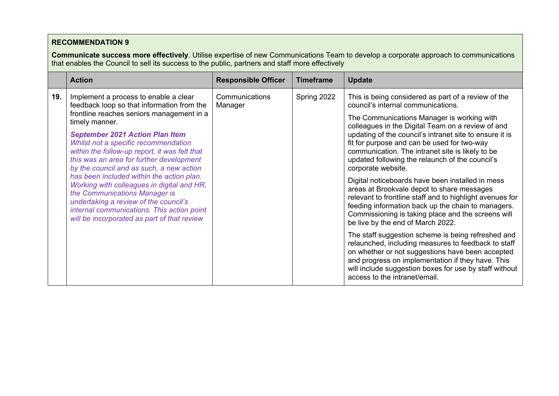**Communicate success more effectively**. Utilise expertise of new Communications Team to develop a corporate approach to communications that enables the Council to sell its success to the public, partners and staff more effectively

|     | <b>Action</b>                                                                                                                                                                                                                                                                                                                                                                                                                                                                                                                                                                                                                                   | <b>Responsible Officer</b> | <b>Timeframe</b> | <b>Update</b>                                                                                                                                                                                                                                                                                                                                                                                                                                                                                                                                                                                                                                                                                                                                                                                                                                                                                                                                                                                                                                                       |
|-----|-------------------------------------------------------------------------------------------------------------------------------------------------------------------------------------------------------------------------------------------------------------------------------------------------------------------------------------------------------------------------------------------------------------------------------------------------------------------------------------------------------------------------------------------------------------------------------------------------------------------------------------------------|----------------------------|------------------|---------------------------------------------------------------------------------------------------------------------------------------------------------------------------------------------------------------------------------------------------------------------------------------------------------------------------------------------------------------------------------------------------------------------------------------------------------------------------------------------------------------------------------------------------------------------------------------------------------------------------------------------------------------------------------------------------------------------------------------------------------------------------------------------------------------------------------------------------------------------------------------------------------------------------------------------------------------------------------------------------------------------------------------------------------------------|
| 19. | Implement a process to enable a clear<br>feedback loop so that information from the<br>frontline reaches seniors management in a<br>timely manner.<br><b>September 2021 Action Plan Item</b><br>Whilst not a specific recommendation<br>within the follow-up report, it was felt that<br>this was an area for further development<br>by the council and as such, a new action<br>has been included within the action plan.<br>Working with colleagues in digital and HR,<br>the Communications Manager is<br>undertaking a review of the council's<br>internal communications. This action point<br>will be incorporated as part of that review | Communications<br>Manager  | Spring 2022      | This is being considered as part of a review of the<br>council's internal communications.<br>The Communications Manager is working with<br>colleagues in the Digital Team on a review of and<br>updating of the council's intranet site to ensure it is<br>fit for purpose and can be used for two-way<br>communication. The intranet site is likely to be<br>updated following the relaunch of the council's<br>corporate website.<br>Digital noticeboards have been installed in mess<br>areas at Brookvale depot to share messages<br>relevant to frontline staff and to highlight avenues for<br>feeding information back up the chain to managers.<br>Commissioning is taking place and the screens will<br>be live by the end of March 2022.<br>The staff suggestion scheme is being refreshed and<br>relaunched, including measures to feedback to staff<br>on whether or not suggestions have been accepted<br>and progress on implementation if they have. This<br>will include suggestion boxes for use by staff without<br>access to the intranet/email. |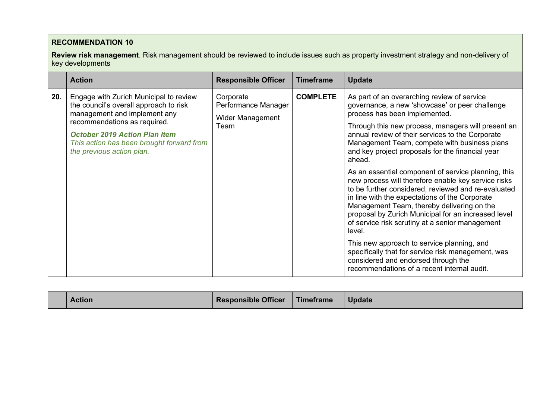**Review risk management**. Risk management should be reviewed to include issues such as property investment strategy and non-delivery of key developments

|     | <b>Action</b>                                                                                                                                                                                                                                                      | <b>Responsible Officer</b>                                          | <b>Timeframe</b> | <b>Update</b>                                                                                                                                                                                                                                                                                                                                                                                                                                                                                                                                                                                                                                                                                                                         |
|-----|--------------------------------------------------------------------------------------------------------------------------------------------------------------------------------------------------------------------------------------------------------------------|---------------------------------------------------------------------|------------------|---------------------------------------------------------------------------------------------------------------------------------------------------------------------------------------------------------------------------------------------------------------------------------------------------------------------------------------------------------------------------------------------------------------------------------------------------------------------------------------------------------------------------------------------------------------------------------------------------------------------------------------------------------------------------------------------------------------------------------------|
| 20. | Engage with Zurich Municipal to review<br>the council's overall approach to risk<br>management and implement any<br>recommendations as required.<br><b>October 2019 Action Plan Item</b><br>This action has been brought forward from<br>the previous action plan. | Corporate<br>Performance Manager<br><b>Wider Management</b><br>Team | <b>COMPLETE</b>  | As part of an overarching review of service<br>governance, a new 'showcase' or peer challenge<br>process has been implemented.<br>Through this new process, managers will present an<br>annual review of their services to the Corporate<br>Management Team, compete with business plans<br>and key project proposals for the financial year<br>ahead.<br>As an essential component of service planning, this<br>new process will therefore enable key service risks<br>to be further considered, reviewed and re-evaluated<br>in line with the expectations of the Corporate<br>Management Team, thereby delivering on the<br>proposal by Zurich Municipal for an increased level<br>of service risk scrutiny at a senior management |
|     |                                                                                                                                                                                                                                                                    |                                                                     |                  | level.                                                                                                                                                                                                                                                                                                                                                                                                                                                                                                                                                                                                                                                                                                                                |
|     |                                                                                                                                                                                                                                                                    |                                                                     |                  | This new approach to service planning, and<br>specifically that for service risk management, was<br>considered and endorsed through the<br>recommendations of a recent internal audit.                                                                                                                                                                                                                                                                                                                                                                                                                                                                                                                                                |

| Action | <b>Responsible Officer</b> | <b>Timeframe</b> | <b>Update</b> |
|--------|----------------------------|------------------|---------------|
|--------|----------------------------|------------------|---------------|